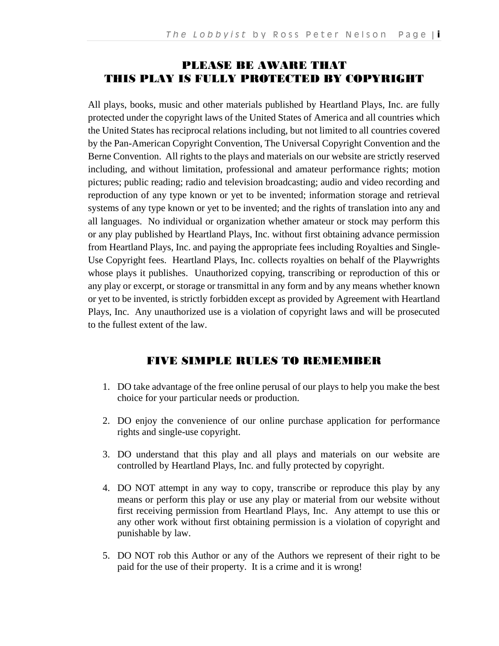# PLEASE BE AWARE THAT THIS PLAY IS FULLY PROTECTED BY COPYRIGHT

All plays, books, music and other materials published by Heartland Plays, Inc. are fully protected under the copyright laws of the United States of America and all countries which the United States has reciprocal relations including, but not limited to all countries covered by the Pan-American Copyright Convention, The Universal Copyright Convention and the Berne Convention. All rights to the plays and materials on our website are strictly reserved including, and without limitation, professional and amateur performance rights; motion pictures; public reading; radio and television broadcasting; audio and video recording and reproduction of any type known or yet to be invented; information storage and retrieval systems of any type known or yet to be invented; and the rights of translation into any and all languages. No individual or organization whether amateur or stock may perform this or any play published by Heartland Plays, Inc. without first obtaining advance permission from Heartland Plays, Inc. and paying the appropriate fees including Royalties and Single-Use Copyright fees. Heartland Plays, Inc. collects royalties on behalf of the Playwrights whose plays it publishes. Unauthorized copying, transcribing or reproduction of this or any play or excerpt, or storage or transmittal in any form and by any means whether known or yet to be invented, is strictly forbidden except as provided by Agreement with Heartland Plays, Inc. Any unauthorized use is a violation of copyright laws and will be prosecuted to the fullest extent of the law.

#### FIVE SIMPLE RULES TO REMEMBER

- 1. DO take advantage of the free online perusal of our plays to help you make the best choice for your particular needs or production.
- 2. DO enjoy the convenience of our online purchase application for performance rights and single-use copyright.
- 3. DO understand that this play and all plays and materials on our website are controlled by Heartland Plays, Inc. and fully protected by copyright.
- 4. DO NOT attempt in any way to copy, transcribe or reproduce this play by any means or perform this play or use any play or material from our website without first receiving permission from Heartland Plays, Inc. Any attempt to use this or any other work without first obtaining permission is a violation of copyright and punishable by law.
- 5. DO NOT rob this Author or any of the Authors we represent of their right to be paid for the use of their property. It is a crime and it is wrong!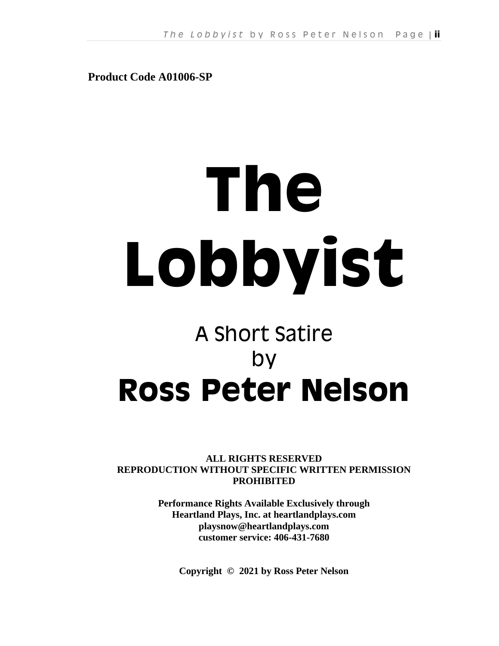**Product Code A01006-SP**

# **The Lobbyist**

# A Short Satire by **Ross Peter Nelson**

**ALL RIGHTS RESERVED REPRODUCTION WITHOUT SPECIFIC WRITTEN PERMISSION PROHIBITED**

> **Performance Rights Available Exclusively through Heartland Plays, Inc. at heartlandplays.com playsnow@heartlandplays.com customer service: 406-431-7680**

**Copyright © 2021 by Ross Peter Nelson**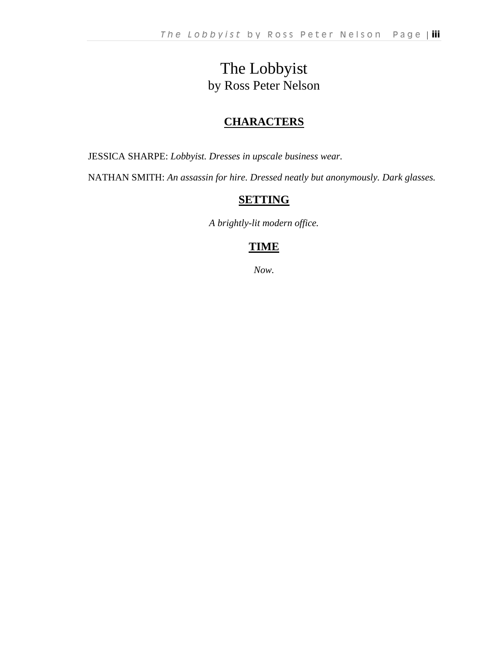# The Lobbyist by Ross Peter Nelson

# **CHARACTERS**

JESSICA SHARPE: *Lobbyist. Dresses in upscale business wear.*

NATHAN SMITH: *An assassin for hire. Dressed neatly but anonymously. Dark glasses.*

# **SETTING**

*A brightly-lit modern office.*

# **TIME**

*Now.*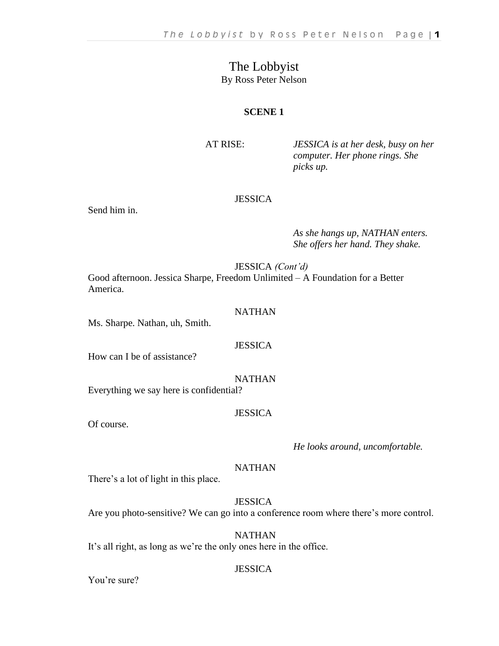## The Lobbyist By Ross Peter Nelson

#### **SCENE 1**

AT RISE: *JESSICA is at her desk, busy on her computer. Her phone rings. She picks up.*

#### **JESSICA**

Send him in.

*As she hangs up, NATHAN enters. She offers her hand. They shake.*

JESSICA *(Cont'd)*

Good afternoon. Jessica Sharpe, Freedom Unlimited – A Foundation for a Better America.

#### NATHAN

Ms. Sharpe. Nathan, uh, Smith.

#### **JESSICA**

How can I be of assistance?

NATHAN

Everything we say here is confidential?

#### **JESSICA**

Of course.

#### *He looks around, uncomfortable.*

#### NATHAN

There's a lot of light in this place.

**JESSICA** Are you photo-sensitive? We can go into a conference room where there's more control.

NATHAN It's all right, as long as we're the only ones here in the office.

#### **JESSICA**

You're sure?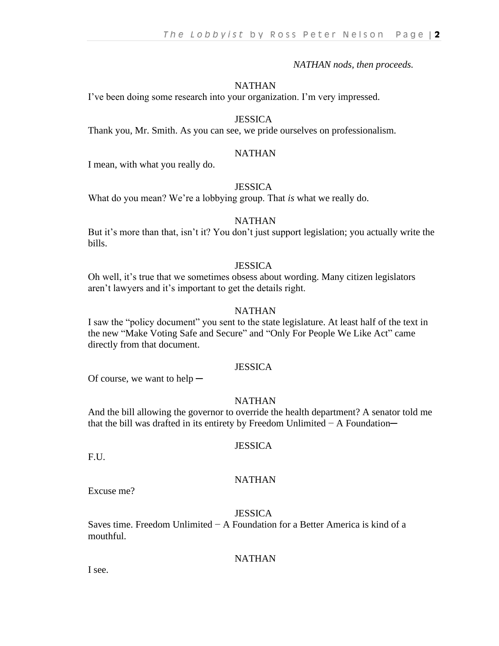*NATHAN nods, then proceeds.*

#### **NATHAN**

I've been doing some research into your organization. I'm very impressed.

#### **JESSICA**

Thank you, Mr. Smith. As you can see, we pride ourselves on professionalism.

#### NATHAN

I mean, with what you really do.

#### **JESSICA**

What do you mean? We're a lobbying group. That *is* what we really do.

#### NATHAN

But it's more than that, isn't it? You don't just support legislation; you actually write the bills.

#### **JESSICA**

Oh well, it's true that we sometimes obsess about wording. Many citizen legislators aren't lawyers and it's important to get the details right.

#### **NATHAN**

I saw the "policy document" you sent to the state legislature. At least half of the text in the new "Make Voting Safe and Secure" and "Only For People We Like Act" came directly from that document.

#### **JESSICA**

Of course, we want to help  $-$ 

#### NATHAN

And the bill allowing the governor to override the health department? A senator told me that the bill was drafted in its entirety by Freedom Unlimited − A Foundation─

#### **JESSICA**

**NATHAN** 

F.U.

Excuse me?

#### **JESSICA**

Saves time. Freedom Unlimited − A Foundation for a Better America is kind of a mouthful.

#### **NATHAN**

I see.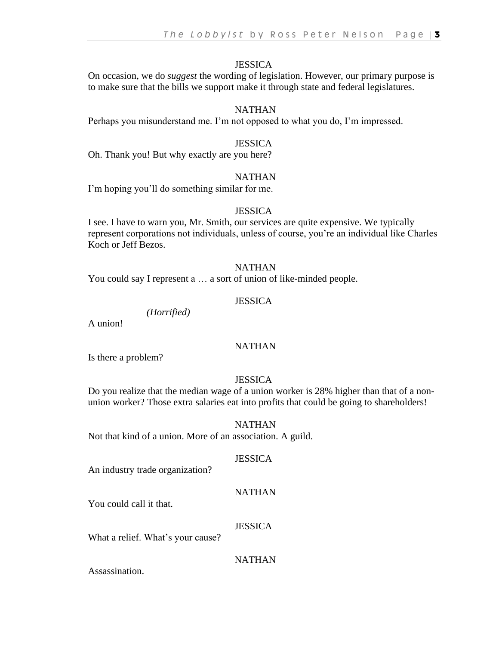On occasion, we do *suggest* the wording of legislation. However, our primary purpose is to make sure that the bills we support make it through state and federal legislatures.

#### NATHAN

Perhaps you misunderstand me. I'm not opposed to what you do, I'm impressed.

#### **JESSICA**

Oh. Thank you! But why exactly are you here?

#### **NATHAN**

I'm hoping you'll do something similar for me.

#### **JESSICA**

I see. I have to warn you, Mr. Smith, our services are quite expensive. We typically represent corporations not individuals, unless of course, you're an individual like Charles Koch or Jeff Bezos.

#### NATHAN

You could say I represent a … a sort of union of like-minded people.

#### **JESSICA**

*(Horrified)* 

A union!

#### NATHAN

Is there a problem?

#### **JESSICA**

Do you realize that the median wage of a union worker is 28% higher than that of a nonunion worker? Those extra salaries eat into profits that could be going to shareholders!

#### NATHAN

Not that kind of a union. More of an association. A guild.

#### **JESSICA**

An industry trade organization?

#### NATHAN

You could call it that.

#### **JESSICA**

What a relief. What's your cause?

#### NATHAN

Assassination.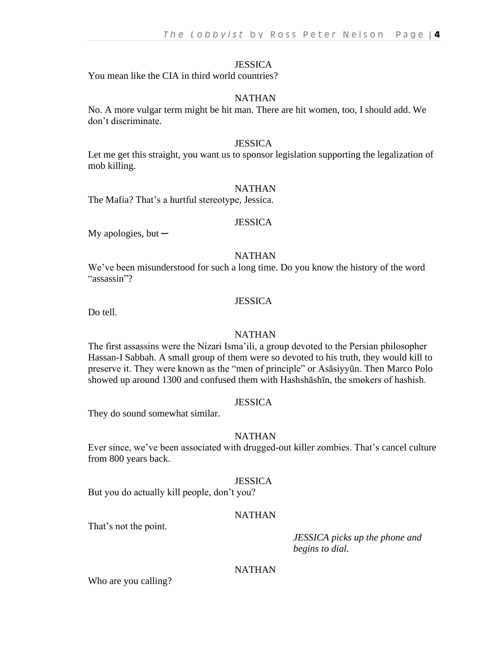You mean like the CIA in third world countries?

#### NATHAN

No. A more vulgar term might be hit man. There are hit women, too, I should add. We don't discriminate.

#### **JESSICA**

Let me get this straight, you want us to sponsor legislation supporting the legalization of mob killing.

#### **NATHAN**

The Mafia? That's a hurtful stereotype, Jessica.

#### **JESSICA**

My apologies, but  $-$ 

#### NATHAN

We've been misunderstood for such a long time. Do you know the history of the word "assassin"?

#### **JESSICA**

Do tell.

#### NATHAN

The first assassins were the Nizari Isma'ili, a group devoted to the Persian philosopher Hassan-I Sabbah. A small group of them were so devoted to his truth, they would kill to preserve it. They were known as the "men of principle" or Asāsiyyūn. Then Marco Polo showed up around 1300 and confused them with Hashshāshīn, the smokers of hashish.

#### **JESSICA**

They do sound somewhat similar.

#### **NATHAN**

Ever since, we've been associated with drugged-out killer zombies. That's cancel culture from 800 years back.

#### **JESSICA**

But you do actually kill people, don't you?

#### NATHAN

That's not the point.

*JESSICA picks up the phone and begins to dial.*

#### NATHAN

Who are you calling?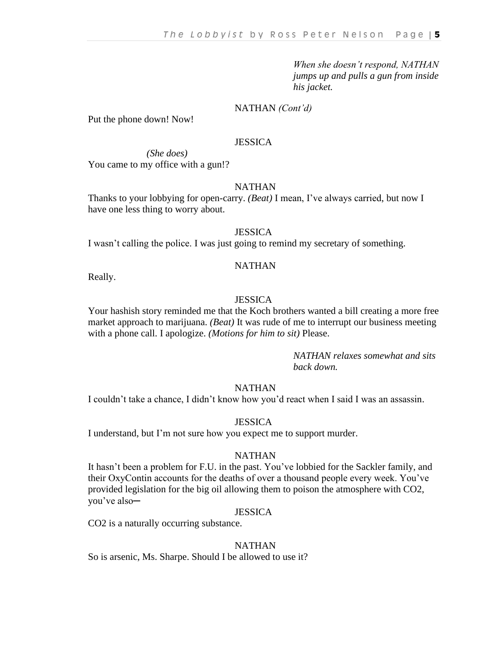*When she doesn't respond, NATHAN jumps up and pulls a gun from inside his jacket.*

#### NATHAN *(Cont'd)*

Put the phone down! Now!

#### **JESSICA**

*(She does)* You came to my office with a gun!?

#### NATHAN

Thanks to your lobbying for open-carry. *(Beat)* I mean, I've always carried, but now I have one less thing to worry about.

#### **JESSICA**

I wasn't calling the police. I was just going to remind my secretary of something.

#### NATHAN

Really.

#### JESSICA

Your hashish story reminded me that the Koch brothers wanted a bill creating a more free market approach to marijuana. *(Beat)* It was rude of me to interrupt our business meeting with a phone call. I apologize. *(Motions for him to sit)* Please.

> *NATHAN relaxes somewhat and sits back down.*

#### **NATHAN**

I couldn't take a chance, I didn't know how you'd react when I said I was an assassin.

#### **JESSICA**

I understand, but I'm not sure how you expect me to support murder.

#### **NATHAN**

It hasn't been a problem for F.U. in the past. You've lobbied for the Sackler family, and their OxyContin accounts for the deaths of over a thousand people every week. You've provided legislation for the big oil allowing them to poison the atmosphere with CO2, you've also─

#### **JESSICA**

CO2 is a naturally occurring substance.

#### **NATHAN**

So is arsenic, Ms. Sharpe. Should I be allowed to use it?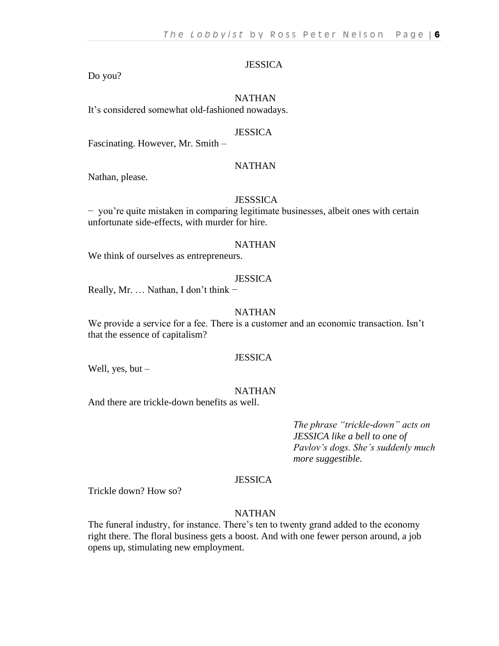#### Do you?

#### **NATHAN**

It's considered somewhat old-fashioned nowadays.

#### **JESSICA**

Fascinating. However, Mr. Smith –

#### NATHAN

Nathan, please.

#### **JESSSICA**

− you're quite mistaken in comparing legitimate businesses, albeit ones with certain unfortunate side-effects, with murder for hire.

#### **NATHAN**

We think of ourselves as entrepreneurs.

#### **JESSICA**

Really, Mr. … Nathan, I don't think −

#### **NATHAN**

We provide a service for a fee. There is a customer and an economic transaction. Isn't that the essence of capitalism?

#### **JESSICA**

Well, yes, but –

#### NATHAN

And there are trickle-down benefits as well.

*The phrase "trickle-down" acts on JESSICA like a bell to one of Pavlov's dogs. She's suddenly much more suggestible.*

#### **JESSICA**

Trickle down? How so?

#### NATHAN

The funeral industry, for instance. There's ten to twenty grand added to the economy right there. The floral business gets a boost. And with one fewer person around, a job opens up, stimulating new employment.